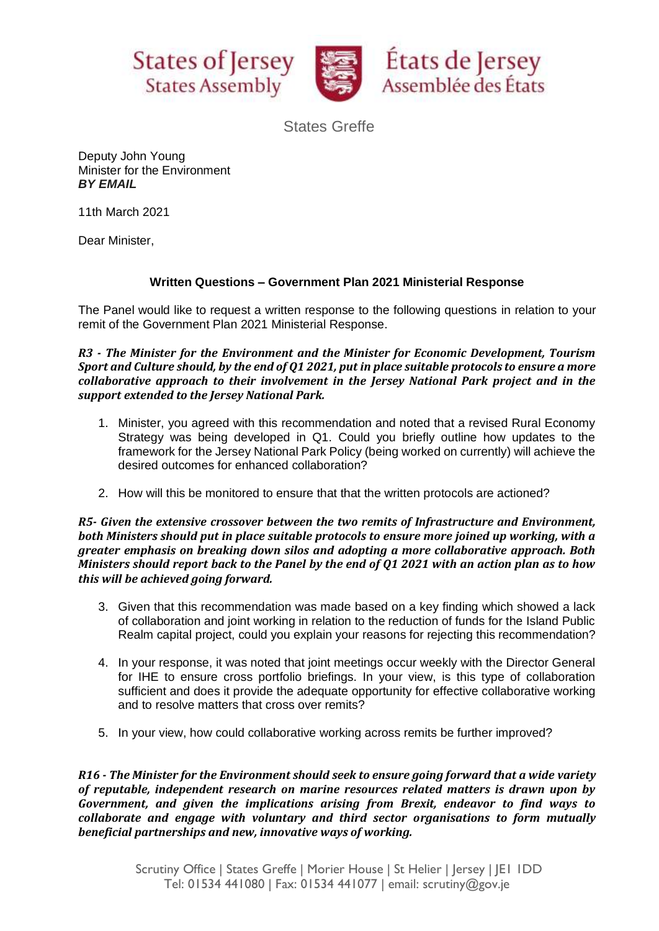



States Greffe

Deputy John Young Minister for the Environment *BY EMAIL*

11th March 2021

Dear Minister,

## **Written Questions – Government Plan 2021 Ministerial Response**

The Panel would like to request a written response to the following questions in relation to your remit of the Government Plan 2021 Ministerial Response.

*R3 - The Minister for the Environment and the Minister for Economic Development, Tourism Sport and Culture should, by the end of Q1 2021, put in place suitable protocols to ensure a more collaborative approach to their involvement in the Jersey National Park project and in the support extended to the Jersey National Park.*

- 1. Minister, you agreed with this recommendation and noted that a revised Rural Economy Strategy was being developed in Q1. Could you briefly outline how updates to the framework for the Jersey National Park Policy (being worked on currently) will achieve the desired outcomes for enhanced collaboration?
- 2. How will this be monitored to ensure that that the written protocols are actioned?

*R5- Given the extensive crossover between the two remits of Infrastructure and Environment, both Ministers should put in place suitable protocols to ensure more joined up working, with a greater emphasis on breaking down silos and adopting a more collaborative approach. Both Ministers should report back to the Panel by the end of Q1 2021 with an action plan as to how this will be achieved going forward.*

- 3. Given that this recommendation was made based on a key finding which showed a lack of collaboration and joint working in relation to the reduction of funds for the Island Public Realm capital project, could you explain your reasons for rejecting this recommendation?
- 4. In your response, it was noted that joint meetings occur weekly with the Director General for IHE to ensure cross portfolio briefings. In your view, is this type of collaboration sufficient and does it provide the adequate opportunity for effective collaborative working and to resolve matters that cross over remits?
- 5. In your view, how could collaborative working across remits be further improved?

*R16 - The Minister for the Environment should seek to ensure going forward that a wide variety of reputable, independent research on marine resources related matters is drawn upon by Government, and given the implications arising from Brexit, endeavor to find ways to collaborate and engage with voluntary and third sector organisations to form mutually beneficial partnerships and new, innovative ways of working.*